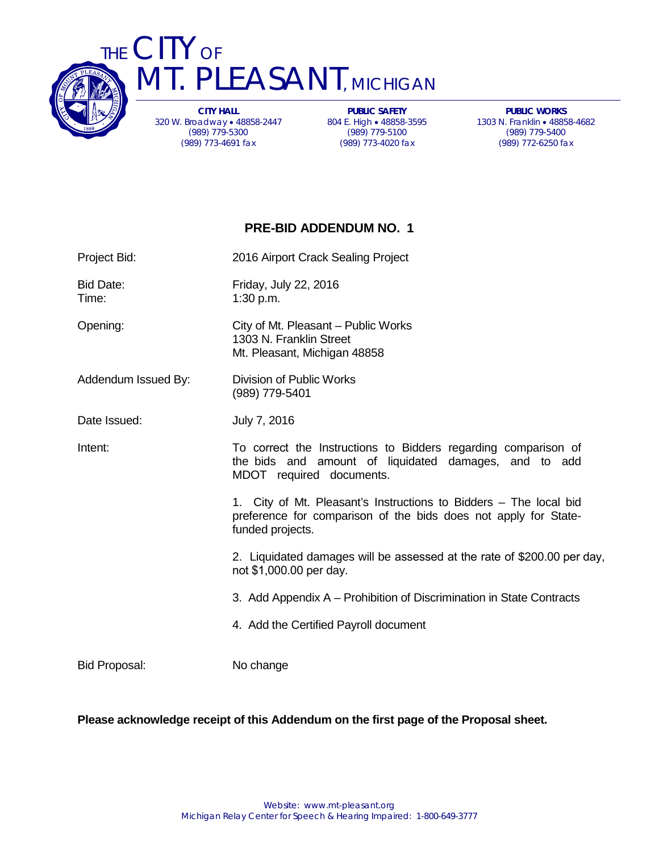

THE CITY OF T. PLEASANT, MICHIGAN

> **CITY HALL** 320 W. Broadway • 48858-2447 (989) 779-5300 (989) 773-4691 fax

**PUBLIC SAFETY** 804 E. High • 48858-3595 (989) 779-5100 (989) 773-4020 fax

**PUBLIC WORKS** 1303 N. Franklin • 48858-4682 (989) 779-5400 (989) 772-6250 fax

### **PRE-BID ADDENDUM NO. 1**

| Project Bid:              | 2016 Airport Crack Sealing Project                                                                                                                       |
|---------------------------|----------------------------------------------------------------------------------------------------------------------------------------------------------|
| <b>Bid Date:</b><br>Time: | Friday, July 22, 2016<br>1:30 p.m.                                                                                                                       |
| Opening:                  | City of Mt. Pleasant - Public Works<br>1303 N. Franklin Street<br>Mt. Pleasant, Michigan 48858                                                           |
| Addendum Issued By:       | Division of Public Works<br>(989) 779-5401                                                                                                               |
| Date Issued:              | July 7, 2016                                                                                                                                             |
| Intent:                   | To correct the Instructions to Bidders regarding comparison of<br>the bids and amount of liquidated damages, and to add<br>MDOT required documents.      |
|                           | 1. City of Mt. Pleasant's Instructions to Bidders – The local bid<br>preference for comparison of the bids does not apply for State-<br>funded projects. |
|                           | 2. Liquidated damages will be assessed at the rate of \$200.00 per day,<br>not \$1,000.00 per day.                                                       |
|                           | 3. Add Appendix A – Prohibition of Discrimination in State Contracts                                                                                     |
|                           | 4. Add the Certified Payroll document                                                                                                                    |
| <b>Bid Proposal:</b>      | No change                                                                                                                                                |

#### **Please acknowledge receipt of this Addendum on the first page of the Proposal sheet.**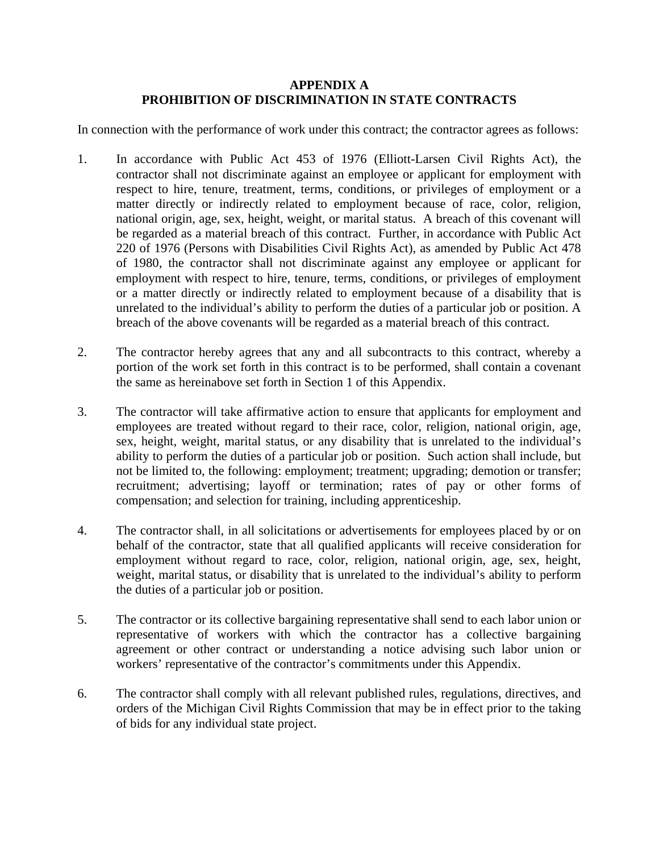### **APPENDIX A PROHIBITION OF DISCRIMINATION IN STATE CONTRACTS**

In connection with the performance of work under this contract; the contractor agrees as follows:

- 1. In accordance with Public Act 453 of 1976 (Elliott-Larsen Civil Rights Act), the contractor shall not discriminate against an employee or applicant for employment with respect to hire, tenure, treatment, terms, conditions, or privileges of employment or a matter directly or indirectly related to employment because of race, color, religion, national origin, age, sex, height, weight, or marital status. A breach of this covenant will be regarded as a material breach of this contract. Further, in accordance with Public Act 220 of 1976 (Persons with Disabilities Civil Rights Act), as amended by Public Act 478 of 1980, the contractor shall not discriminate against any employee or applicant for employment with respect to hire, tenure, terms, conditions, or privileges of employment or a matter directly or indirectly related to employment because of a disability that is unrelated to the individual's ability to perform the duties of a particular job or position. A breach of the above covenants will be regarded as a material breach of this contract.
- 2. The contractor hereby agrees that any and all subcontracts to this contract, whereby a portion of the work set forth in this contract is to be performed, shall contain a covenant the same as hereinabove set forth in Section 1 of this Appendix.
- 3. The contractor will take affirmative action to ensure that applicants for employment and employees are treated without regard to their race, color, religion, national origin, age, sex, height, weight, marital status, or any disability that is unrelated to the individual's ability to perform the duties of a particular job or position. Such action shall include, but not be limited to, the following: employment; treatment; upgrading; demotion or transfer; recruitment; advertising; layoff or termination; rates of pay or other forms of compensation; and selection for training, including apprenticeship.
- 4. The contractor shall, in all solicitations or advertisements for employees placed by or on behalf of the contractor, state that all qualified applicants will receive consideration for employment without regard to race, color, religion, national origin, age, sex, height, weight, marital status, or disability that is unrelated to the individual's ability to perform the duties of a particular job or position.
- 5. The contractor or its collective bargaining representative shall send to each labor union or representative of workers with which the contractor has a collective bargaining agreement or other contract or understanding a notice advising such labor union or workers' representative of the contractor's commitments under this Appendix.
- 6. The contractor shall comply with all relevant published rules, regulations, directives, and orders of the Michigan Civil Rights Commission that may be in effect prior to the taking of bids for any individual state project.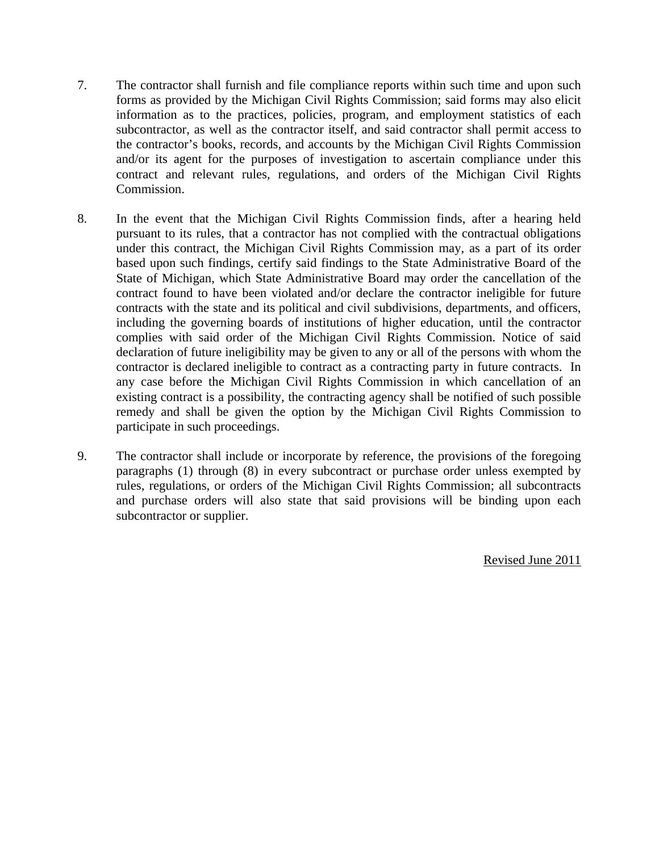- 7. The contractor shall furnish and file compliance reports within such time and upon such forms as provided by the Michigan Civil Rights Commission; said forms may also elicit information as to the practices, policies, program, and employment statistics of each subcontractor, as well as the contractor itself, and said contractor shall permit access to the contractor's books, records, and accounts by the Michigan Civil Rights Commission and/or its agent for the purposes of investigation to ascertain compliance under this contract and relevant rules, regulations, and orders of the Michigan Civil Rights Commission.
- 8. In the event that the Michigan Civil Rights Commission finds, after a hearing held pursuant to its rules, that a contractor has not complied with the contractual obligations under this contract, the Michigan Civil Rights Commission may, as a part of its order based upon such findings, certify said findings to the State Administrative Board of the State of Michigan, which State Administrative Board may order the cancellation of the contract found to have been violated and/or declare the contractor ineligible for future contracts with the state and its political and civil subdivisions, departments, and officers, including the governing boards of institutions of higher education, until the contractor complies with said order of the Michigan Civil Rights Commission. Notice of said declaration of future ineligibility may be given to any or all of the persons with whom the contractor is declared ineligible to contract as a contracting party in future contracts. In any case before the Michigan Civil Rights Commission in which cancellation of an existing contract is a possibility, the contracting agency shall be notified of such possible remedy and shall be given the option by the Michigan Civil Rights Commission to participate in such proceedings.
- 9. The contractor shall include or incorporate by reference, the provisions of the foregoing paragraphs (1) through (8) in every subcontract or purchase order unless exempted by rules, regulations, or orders of the Michigan Civil Rights Commission; all subcontracts and purchase orders will also state that said provisions will be binding upon each subcontractor or supplier.

Revised June 2011